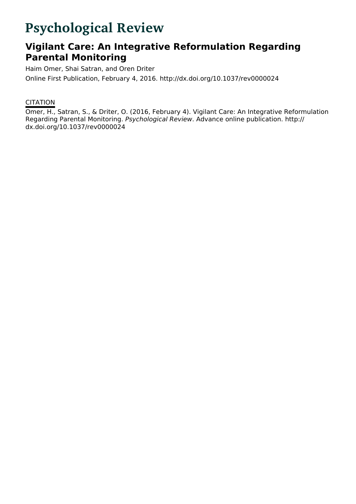# **Psychological Review**

## **Vigilant Care: An Integrative Reformulation Regarding Parental Monitoring**

Haim Omer, Shai Satran, and Oren Driter Online First Publication, February 4, 2016. http://dx.doi.org/10.1037/rev0000024

### **CITATION**

Omer, H., Satran, S., & Driter, O. (2016, February 4). Vigilant Care: An Integrative Reformulation Regarding Parental Monitoring. Psychological Review. Advance online publication. http:// dx.doi.org/10.1037/rev0000024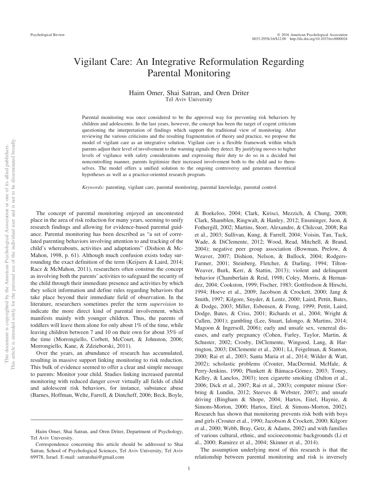### Vigilant Care: An Integrative Reformulation Regarding Parental Monitoring

#### Haim Omer, Shai Satran, and Oren Driter Tel Aviv University

Parental monitoring was once considered to be the approved way for preventing risk behaviors by children and adolescents. In the last years, however, the concept has been the target of cogent criticism questioning the interpretation of findings which support the traditional view of monitoring. After reviewing the various criticisms and the resulting fragmentation of theory and practice, we propose the model of vigilant care as an integrative solution. Vigilant care is a flexible framework within which parents adjust their level of involvement to the warning signals they detect. By justifying moves to higher levels of vigilance with safety considerations and expressing their duty to do so in a decided but noncontrolling manner, parents legitimize their increased involvement both to the child and to themselves. The model offers a unified solution to the ongoing controversy and generates theoretical hypotheses as well as a practice-oriented research program.

*Keywords:* parenting, vigilant care, parental monitoring, parental knowledge, parental control

The concept of parental monitoring enjoyed an uncontested place in the area of risk reduction for many years, seeming to unify research findings and allowing for evidence-based parental guidance. Parental monitoring has been described as "a set of correlated parenting behaviors involving attention to and tracking of the child's whereabouts, activities and adaptations" (Dishion & Mc-Mahon, 1998, p. 61). Although much confusion exists today surrounding the exact definition of the term (Keijsers & Laird, 2014; Racz & McMahon, 2011), researchers often construe the concept as involving both the parents' activities to safeguard the security of the child through their immediate presence and activities by which they solicit information and define rules regarding behaviors that take place beyond their immediate field of observation. In the literature, researchers sometimes prefer the term *supervision* to indicate the more direct kind of parental involvement, which manifests mainly with younger children. Thus, the parents of toddlers will leave them alone for only about 1% of the time, while leaving children between 7 and 10 on their own for about 35% of the time (Morrongiello, Corbett, McCourt, & Johnston, 2006; Morrongiello, Kane, & Zdzieborski, 2011).

Over the years, an abundance of research has accumulated, resulting in massive support linking monitoring to risk reduction. This bulk of evidence seemed to offer a clear and simple message to parents: Monitor your child. Studies linking increased parental monitoring with reduced danger cover virtually all fields of child and adolescent risk behaviors, for instance, substance abuse (Barnes, Hoffman, Welte, Farrell, & Dintcheff, 2006; Beck, Boyle,

& Boekeloo, 2004; Clark, Kirisci, Mezzich, & Chung, 2008; Clark, Shamblen, Ringwalt, & Hanley, 2012; Ensminger, Juon, & Fothergill, 2002; Martins, Storr, Alexandre, & Chilcoat, 2008; Rai et al., 2003; Sullivan, Kung, & Farrell, 2004; Voisin, Tan, Tack, Wade, & DiClemente, 2012; Wood, Read, Mitchell, & Brand, 2004); negative peer group association (Bowman, Prelow, & Weaver, 2007; Dishion, Nelson, & Bullock, 2004; Rodgers-Farmer, 2001; Steinberg, Fletcher, & Darling, 1994; Tilton-Weaver, Burk, Kerr, & Stattin, 2013); violent and delinquent behavior (Chamberlain & Reid, 1998; Coley, Morris, & Hernandez, 2004; Cookston, 1999; Fischer, 1983; Gottfredson & Hirschi, 1994; Hoeve et al., 2009; Jacobson & Crockett, 2000; Jang & Smith, 1997; Kilgore, Snyder, & Lentz, 2000; Laird, Pettit, Bates, & Dodge, 2003; Miller, Esbensen, & Freng, 1999; Pettit, Laird, Dodge, Bates, & Criss, 2001; Richards et al., 2004; Wright & Cullen, 2001); gambling (Lee, Stuart, Ialongo, & Martins, 2014; Magoon & Ingersoll, 2006); early and unsafe sex, venereal diseases, and early pregnancy (Cohen, Farley, Taylor, Martin, & Schuster, 2002; Crosby, DiClemente, Wingood, Lang, & Harrington, 2003; DiClemente et al., 2001; Li, Feigelman, & Stanton, 2000; Rai et al., 2003; Santa Maria et al., 2014; Wilder & Watt, 2002); scholastic problems (Crouter, MacDermid, McHale, & Perry-Jenkins, 1990; Plunkett & Bámaca-Gómez, 2003; Toney, Kelley, & Lanclos, 2003); teen cigarette smoking (Dalton et al., 2006; Dick et al., 2007; Rai et al., 2003); computer misuse (Sorbring & Lundin, 2012; Steeves & Webster, 2007); and unsafe driving (Bingham & Shope, 2004; Hartos, Eitel, Haynie, & Simons-Morton, 2000; Hartos, Eitel, & Simons-Morton, 2002). Research has shown that monitoring prevents risk both with boys and girls (Crouter et al., 1990; Jacobson & Crockett, 2000; Kilgore et al., 2000; Webb, Bray, Getz, & Adams, 2002) and with families of various cultural, ethnic, and socioeconomic backgrounds (Li et al., 2000; Ramirez et al., 2004; Skinner et al., 2014).

The assumption underlying most of this research is that the relationship between parental monitoring and risk is inversely

Haim Omer, Shai Satran, and Oren Driter, Department of Psychology, Tel Aviv University.

Correspondence concerning this article should be addressed to Shai Satran, School of Psychological Sciences, Tel Aviv University, Tel Aviv 69978, Israel. E-mail: satranshai@gmail.com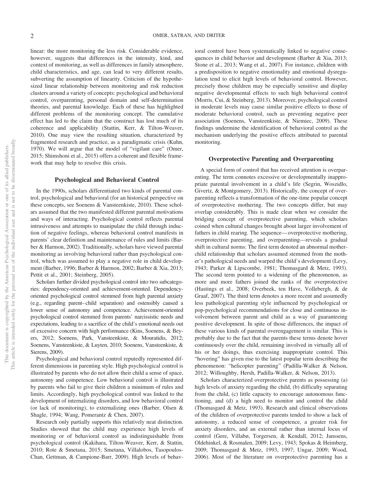linear: the more monitoring the less risk. Considerable evidence, however, suggests that differences in the intensity, kind, and context of monitoring, as well as differences in family atmosphere, child characteristics, and age, can lead to very different results, subverting the assumption of linearity. Criticism of the hypothesized linear relationship between monitoring and risk reduction clusters around a variety of concepts: psychological and behavioral control, overparenting, personal domain and self-determination theories, and parental knowledge. Each of these has highlighted different problems of the monitoring concept. The cumulative effect has led to the claim that the construct has lost much of its coherence and applicability (Stattin, Kerr, & Tilton-Weaver, 2010). One may view the resulting situation, characterized by fragmented research and practice, as a paradigmatic crisis (Kuhn, 1970). We will argue that the model of "vigilant care" (Omer, 2015; Shimshoni et al., 2015) offers a coherent and flexible framework that may help to resolve this crisis.

#### **Psychological and Behavioral Control**

In the 1990s, scholars differentiated two kinds of parental control, psychological and behavioral (for an historical perspective on these concepts, see Soenens & Vansteenkiste, 2010). These scholars assumed that the two manifested different parental motivations and ways of interacting. Psychological control reflects parental intrusiveness and attempts to manipulate the child through induction of negative feelings, whereas behavioral control manifests in parents' clear definition and maintenance of rules and limits (Barber & Harmon, 2002). Traditionally, scholars have viewed parental monitoring as involving behavioral rather than psychological control, which was assumed to play a negative role in child development (Barber, 1996; Barber & Harmon, 2002; Barber & Xia, 2013; Pettit et al., 2001; Steinberg, 2005).

Scholars further divided psychological control into two subcategories: dependency-oriented and achievement-oriented. Dependencyoriented psychological control stemmed from high parental anxiety (e.g., regarding parent–child separation) and ostensibly caused a lower sense of autonomy and competence. Achievement-oriented psychological control stemmed from parents' narcissistic needs and expectations, leading to a sacrifice of the child's emotional needs out of excessive concern with high performance (Kins, Soenens, & Beyers, 2012; Soenens, Park, Vansteenkiste, & Mouratidis, 2012; Soenens, Vansteenkiste, & Luyten, 2010; Soenens, Vansteenkiste, & Sierens, 2009).

Psychological and behavioral control reputedly represented different dimensions in parenting style. High psychological control is illustrated by parents who do not allow their child a sense of space, autonomy and competence. Low behavioral control is illustrated by parents who fail to give their children a minimum of rules and limits. Accordingly, high psychological control was linked to the development of internalizing disorders, and low behavioral control (or lack of monitoring), to externalizing ones (Barber, Olsen & Shagle, 1994; Wang, Pomerantz & Chen, 2007).

Research only partially supports this relatively neat distinction. Studies showed that the child may experience high levels of monitoring or of behavioral control as indistinguishable from psychological control (Kakihara, Tilton-Weaver, Kerr, & Stattin, 2010; Rote & Smetana, 2015; Smetana, Villalobos, Tasopoulos-Chan, Gettman, & Campione-Barr, 2009). High levels of behavioral control have been systematically linked to negative consequences in child behavior and development (Barber & Xia, 2013; Stone et al., 2013; Wang et al., 2007). For instance, children with a predisposition to negative emotionality and emotional dysregulation tend to elicit high levels of behavioral control. However, precisely those children may be especially sensitive and display negative developmental effects to such high behavioral control (Morris, Cui, & Steinberg, 2013). Moreover, psychological control in moderate levels may cause similar positive effects to those of moderate behavioral control, such as preventing negative peer association (Soenens, Vansteenkiste, & Niemiec, 2009). These findings undermine the identification of behavioral control as the mechanism underlying the positive effects attributed to parental monitoring.

#### **Overprotective Parenting and Overparenting**

A special form of control that has received attention is overparenting. The term connotes excessive or developmentally inappropriate parental involvement in a child's life (Segrin, Woszidlo, Givertz, & Montgomery, 2013). Historically, the concept of overparenting reflects a transformation of the one-time popular concept of overprotective mothering. The two concepts differ, but may overlap considerably. This is made clear when we consider the bridging concept of overprotective parenting, which scholars coined when cultural changes brought about larger involvement of fathers in child rearing. The sequence— overprotective mothering, overprotective parenting, and overparenting—reveals a gradual shift in cultural norms: The first term denoted an abnormal motherchild relationship that scholars assumed stemmed from the mother's pathological needs and warped the child's development (Levy, 1943; Parker & Lipscombe, 1981; Thomasgard & Metz, 1993). The second term pointed to a widening of the phenomenon, as more and more fathers joined the ranks of the overprotective (Hastings et al., 2008; Overbeek, ten Have, Vollebergh, & de Graaf, 2007). The third term denotes a more recent and assumedly less pathological parenting style influenced by psychological or pop-psychological recommendations for close and continuous involvement between parent and child as a way of guaranteeing positive development. In spite of those differences, the impact of these various kinds of parental overengagement is similar. This is probably due to the fact that the parents these terms denote hover continuously over the child, remaining involved in virtually all of his or her doings, thus exercising inappropriate control. This "hovering" has given rise to the latest popular term describing the phenomenon: "helicopter parenting" (Padilla-Walker & Nelson, 2012; Willoughby, Hersh, Padilla-Walker, & Nelson, 2013).

Scholars characterized overprotective parents as possessing (a) high levels of anxiety regarding the child, (b) difficulty separating from the child, (c) little capacity to encourage autonomous functioning, and (d) a high need to monitor and control the child (Thomasgard & Metz, 1993). Research and clinical observations of the children of overprotective parents tended to show a lack of autonomy, a reduced sense of competence, a greater risk for anxiety disorders, and an external rather than internal locus of control (Gere, Villabø, Torgersen, & Kendall, 2012; Janssens, Oldehinkel, & Rosmalen, 2009; Levy, 1943; Spokas & Heimberg, 2009; Thomasgard & Metz, 1993, 1997; Ungar, 2009; Wood, 2006). Most of the literature on overprotective parenting has a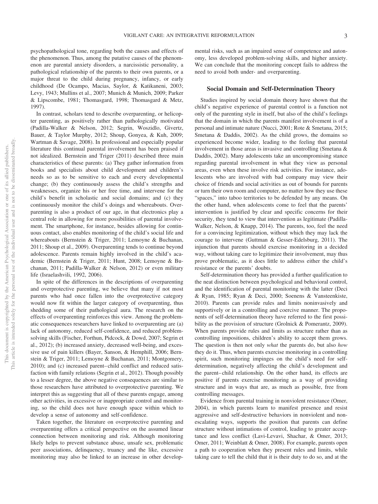psychopathological tone, regarding both the causes and effects of the phenomenon. Thus, among the putative causes of the phenomenon are parental anxiety disorders, a narcissistic personality, a pathological relationship of the parents to their own parents, or a major threat to the child during pregnancy, infancy, or early childhood (De Ocampo, Macias, Saylor, & Katikaneni, 2003; Levy, 1943; Mullins et al., 2007; Munich & Munich, 2009; Parker & Lipscombe, 1981; Thomasgard, 1998; Thomasgard & Metz, 1997).

In contrast, scholars tend to describe overparenting, or helicopter parenting, as positively rather than pathologically motivated (Padilla-Walker & Nelson, 2012; Segrin, Woszidlo, Givertz, Bauer, & Taylor Murphy, 2012; Shoup, Gonyea, & Kuh, 2009; Wartman & Savage, 2008). In professional and especially popular literature this continual parental involvement has been praised if not idealized. Bernstein and Triger (2011) described three main characteristics of these parents: (a) They gather information from books and specialists about child development and children's needs so as to be sensitive to each and every developmental change; (b) they continuously assess the child's strengths and weaknesses, organize his or her free time, and intervene for the child's benefit in scholastic and social domains; and (c) they continuously monitor the child's doings and whereabouts. Overparenting is also a product of our age, in that electronics play a central role in allowing for more possibilities of parental involvement. The smartphone, for instance, besides allowing for continuous contact, also enables monitoring of the child's social life and whereabouts (Bernstein & Triger, 2011; Lemoyne & Buchanan, 2011; Shoup et al., 2009). Overparenting tends to continue beyond adolescence. Parents remain highly involved in the child's academic (Bernstein & Triger, 2011; Hunt, 2008; Lemoyne & Buchanan, 2011; Padilla-Walker & Nelson, 2012) or even military life (Israelashvili, 1992, 2006).

In spite of the differences in the descriptions of overparenting and overprotective parenting, we believe that many if not most parents who had once fallen into the overprotective category would now fit within the larger category of overparenting, thus shedding some of their pathological aura. The research on the effects of overparenting reinforces this view. Among the problematic consequences researchers have linked to overparenting are (a) lack of autonomy, reduced self-confidence, and reduced problemsolving skills (Fischer, Forthun, Pidcock, & Dowd, 2007; Segrin et al., 2012); (b) increased anxiety, decreased well-being, and excessive use of pain killers (Bayer, Sanson, & Hemphill, 2006; Bernstein & Triger, 2011; Lemoyne & Buchanan, 2011; Montgomery, 2010); and (c) increased parent– child conflict and reduced satisfaction with family relations (Segrin et al., 2012). Though possibly to a lesser degree, the above negative consequences are similar to those researchers have attributed to overprotective parenting. We interpret this as suggesting that all of these parents engage, among other activities, in excessive or inappropriate control and monitoring, so the child does not have enough space within which to develop a sense of autonomy and self-confidence.

Taken together, the literature on overprotective parenting and overparenting offers a critical perspective on the assumed linear connection between monitoring and risk. Although monitoring likely helps to prevent substance abuse, unsafe sex, problematic peer associations, delinquency, truancy and the like, excessive monitoring may also be linked to an increase in other developmental risks, such as an impaired sense of competence and autonomy, less developed problem-solving skills, and higher anxiety. We can conclude that the monitoring concept fails to address the need to avoid both under- and overparenting.

#### **Social Domain and Self-Determination Theory**

Studies inspired by social domain theory have shown that the child's negative experience of parental control is a function not only of the parenting style in itself, but also of the child's feelings that the domain in which the parents manifest involvement is of a personal and intimate nature (Nucci, 2001; Rote & Smetana, 2015; Smetana & Daddis, 2002). As the child grows, the domains so experienced become wider, leading to the feeling that parental involvement in those areas is invasive and controlling (Smetana & Daddis, 2002). Many adolescents take an uncompromising stance regarding parental involvement in what they view as personal areas, even when these involve risk activities. For instance, adolescents who are involved with bad company may view their choice of friends and social activities as out of bounds for parents or turn their own room and computer, no matter how they use these "spaces," into taboo territories to be defended by any means. On the other hand, when adolescents come to feel that the parents' intervention is justified by clear and specific concerns for their security, they tend to view that intervention as legitimate (Padilla-Walker, Nelson, & Knapp, 2014). The parents, too, feel the need for a convincing legitimization, without which they may lack the courage to intervene (Guttman & Gesser-Edelsburg, 2011). The injunction that parents should exercise monitoring in a decided way, without taking care to legitimize their involvement, may thus prove problematic, as it does little to address either the child's resistance or the parents' doubts.

Self-determination theory has provided a further qualification to the neat distinction between psychological and behavioral control, and the identification of parental monitoring with the latter (Deci & Ryan, 1985; Ryan & Deci, 2000; Soenens & Vansteenkiste, 2010). Parents can provide rules and limits noninvasively and supportively or in a controlling and coercive manner. The proponents of self-determination theory have referred to the first possibility as the provision of structure (Grolnick & Pomerantz, 2009). When parents provide rules and limits as structure rather than as controlling impositions, children's ability to accept them grows. The question is then not only *what* the parents do, but also *how* they do it. Thus, when parents exercise monitoring in a controlling spirit, such monitoring impinges on the child's need for selfdetermination, negatively affecting the child's development and the parent– child relationship. On the other hand, its effects are positive if parents exercise monitoring as a way of providing structure and in ways that are, as much as possible, free from controlling messages.

Evidence from parental training in nonviolent resistance (Omer, 2004), in which parents learn to manifest presence and resist aggressive and self-destructive behaviors in nonviolent and nonescalating ways, supports the position that parents can define structure without intimations of control, leading to greater acceptance and less conflict (Lavi-Levavi, Shachar, & Omer, 2013; Omer, 2011; Weinblatt & Omer, 2008). For example, parents open a path to cooperation when they present rules and limits, while taking care to tell the child that it is their duty to do so, and at the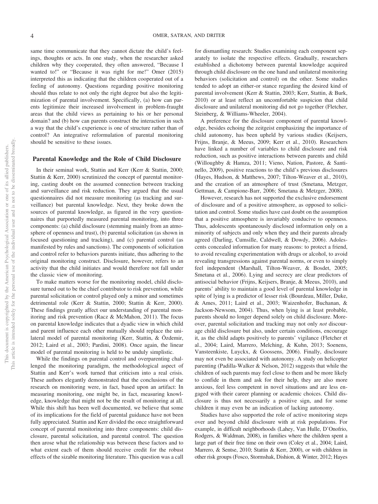same time communicate that they cannot dictate the child's feelings, thoughts or acts. In one study, when the researcher asked children why they cooperated, they often answered, "Because I wanted to!" or "Because it was right for me!" Omer (2015) interpreted this as indicating that the children cooperated out of a feeling of autonomy. Questions regarding positive monitoring should thus relate to not only the right degree but also the legitimization of parental involvement. Specifically, (a) how can parents legitimize their increased involvement in problem-fraught areas that the child views as pertaining to his or her personal domain? and (b) how can parents construct the interaction in such a way that the child's experience is one of structure rather than of control? An integrative reformulation of parental monitoring should be sensitive to these issues.

#### **Parental Knowledge and the Role of Child Disclosure**

In their seminal work, Stattin and Kerr (Kerr & Stattin, 2000; Stattin & Kerr, 2000) scrutinized the concept of parental monitoring, casting doubt on the assumed connection between tracking and surveillance and risk reduction. They argued that the usual questionnaires did not measure monitoring (as tracking and surveillance) but parental knowledge. Next, they broke down the sources of parental knowledge, as figured in the very questionnaires that purportedly measured parental monitoring, into three components: (a) child disclosure (stemming mainly from an atmosphere of openness and trust), (b) parental solicitation (as shown in focused questioning and tracking), and (c) parental control (as manifested by rules and sanctions). The components of solicitation and control refer to behaviors parents initiate, thus adhering to the original monitoring construct. Disclosure, however, refers to an activity that the child initiates and would therefore not fall under the classic view of monitoring.

To make matters worse for the monitoring model, child disclosure turned out to be the chief contributor to risk prevention, while parental solicitation or control played only a minor and sometimes detrimental role (Kerr & Stattin, 2000; Stattin & Kerr, 2000). These findings greatly affect our understanding of parental monitoring and risk prevention (Racz & McMahon, 2011). The focus on parental knowledge indicates that a dyadic view in which child and parent influence each other mutually should replace the unilateral model of parental monitoring (Kerr, Stattin, & Özdemir, 2012; Laird et al., 2003; Pardini, 2008). Once again, the linear model of parental monitoring is held to be unduly simplistic.

While the findings on parental control and overparenting challenged the monitoring paradigm, the methodological aspect of Stattin and Kerr's work turned that criticism into a real crisis. These authors elegantly demonstrated that the conclusions of the research on monitoring were, in fact, based upon an artifact: In measuring monitoring, one might be, in fact, measuring knowledge, knowledge that might not be the result of monitoring at all. While this shift has been well documented, we believe that some of its implications for the field of parental guidance have not been fully appreciated. Stattin and Kerr divided the once straightforward concept of parental monitoring into three components: child disclosure, parental solicitation, and parental control. The question then arose what the relationship was between these factors and to what extent each of them should receive credit for the robust effects of the sizable monitoring literature. This question was a call

for dismantling research: Studies examining each component separately to isolate the respective effects. Gradually, researchers established a dichotomy between parental knowledge acquired through child disclosure on the one hand and unilateral monitoring behaviors (solicitation and control) on the other. Some studies tended to adopt an either-or stance regarding the desired kind of parental involvement (Kerr & Stattin, 2003; Kerr, Stattin, & Burk, 2010) or at least reflect an uncomfortable suspicion that child disclosure and unilateral monitoring did not go together (Fletcher, Steinberg, & Williams-Wheeler, 2004).

A preference for the disclosure component of parental knowledge, besides echoing the zeitgeist emphasizing the importance of child autonomy, has been upheld by various studies (Keijsers, Frijns, Branje, & Meeus, 2009; Kerr et al., 2010). Researchers have linked a number of variables to child disclosure and risk reduction, such as positive interactions between parents and child (Willoughby & Hamza, 2011; Vieno, Nation, Pastore, & Santinello, 2009), positive reactions to the child's previous disclosures (Hayes, Hudson, & Matthews, 2007; Tilton-Weaver et al., 2010), and the creation of an atmosphere of trust (Smetana, Metzger, Gettman, & Campione-Barr, 2006; Smetana & Metzger, 2008).

However, research has not supported the exclusive endorsement of disclosure and of a positive atmosphere, as opposed to solicitation and control. Some studies have cast doubt on the assumption that a positive atmosphere is invariably conducive to openness. Thus, adolescents spontaneously disclosed information only on a minority of subjects and only when they and their parents already agreed (Darling, Cumsille, Caldwell, & Dowdy, 2006). Adolescents concealed information for many reasons: to protect a friend, to avoid revealing experimentation with drugs or alcohol, to avoid revealing transgressions against parental norms, or even to simply feel independent (Marshall, Tilton-Weaver, & Bosdet, 2005; Smetana et al., 2006). Lying and secrecy are clear predictors of antisocial behavior (Frijns, Keijsers, Branje, & Meeus, 2010), and parents' ability to maintain a good level of parental knowledge in spite of lying is a predictor of lesser risk (Bourdeau, Miller, Duke, & Ames, 2011; Laird et al., 2003; Waizenhofer, Buchanan, & Jackson-Newsom, 2004). Thus, when lying is at least probable, parents should no longer depend solely on child disclosure. Moreover, parental solicitation and tracking may not only *not* discourage child disclosure but also, under certain conditions, encourage it, as the child adapts positively to parents' vigilance (Fletcher et al., 2004; Laird, Marrero, Melching, & Kuhn, 2013; Soenens, Vansteenkiste, Luyckx, & Goossens, 2006). Finally, disclosure may not even be associated with autonomy. A study on helicopter parenting (Padilla-Walker & Nelson, 2012) suggests that while the children of such parents may feel close to them and be more likely to confide in them and ask for their help, they are also more anxious, feel less competent in novel situations and are less engaged with their career planning or academic choices. Child disclosure is thus not necessarily a positive sign, and for some children it may even be an indication of lacking autonomy.

Studies have also supported the role of active monitoring steps over and beyond child disclosure with at risk populations. For example, in difficult neighborhoods (Lahey, Van Hulle, D'Onofrio, Rodgers, & Waldman, 2008), in families where the children spent a large part of their free time on their own (Coley et al., 2004; Laird, Marrero, & Sentse, 2010; Stattin & Kerr, 2000), or with children in other risk groups (Fosco, Stormshak, Dishion, & Winter, 2012; Hayes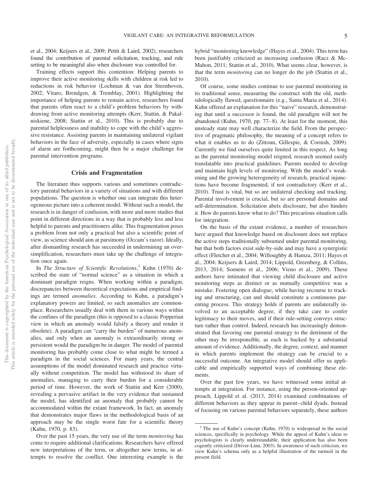et al., 2004; Keijsers et al., 2009; Pettit & Laird, 2002), researchers found the contribution of parental solicitation, tracking, and rule setting to be meaningful also when disclosure was controlled for.

Training effects support this contention: Helping parents to improve their active monitoring skills with children at risk led to reductions in risk behavior (Lochman & van den Steenhoven, 2002; Vitaro, Brendgen, & Tremblay, 2001). Highlighting the importance of helping parents to remain active, researchers found that parents often react to a child's problem behaviors by withdrawing from active monitoring attempts (Kerr, Stattin, & Pakalniskiene, 2008; Stattin et al., 2010). This is probably due to parental helplessness and inability to cope with the child's aggressive resistance. Assisting parents in maintaining unilateral vigilant behaviors in the face of adversity, especially in cases where signs of alarm are forthcoming, might then be a major challenge for parental intervention programs.

#### **Crisis and Fragmentation**

The literature thus supports various and sometimes contradictory parental behaviors in a variety of situations and with different populations. The question is whether one can integrate this heterogeneous picture into a coherent model. Without such a model, the research is in danger of confusion, with more and more studies that point in different directions in a way that is probably less and less helpful to parents and practitioners alike. This fragmentation poses a problem from not only a practical but also a scientific point of view, as science should aim at parsimony (Occam's razor). Ideally, after dismantling research has succeeded in undermining an oversimplification, researchers must take up the challenge of integration once again.

In *The Structure of Scientific Revolutions*, <sup>1</sup> Kuhn (1970) described the state of "normal science" as a situation in which a dominant paradigm reigns. When working within a paradigm, discrepancies between theoretical expectations and empirical findings are termed *anomalies*. According to Kuhn, a paradigm's explanatory powers are limited, so such anomalies are commonplace. Researchers usually deal with them in various ways within the confines of the paradigm (this is opposed to a classic Popperian view in which an anomaly would falsify a theory and render it obsolete). A paradigm can "carry the burden" of numerous anomalies, and only when an anomaly is extraordinarily strong or persistent would the paradigm be in danger. The model of parental monitoring has probably come close to what might be termed a paradigm in the social sciences. For many years, the central assumptions of the model dominated research and practice virtually without competition. The model has withstood its share of anomalies, managing to carry their burden for a considerable period of time. However, the work of Stattin and Kerr (2000), revealing a pervasive artifact in the very evidence that sustained the model, has identified an anomaly that probably cannot be accommodated within the extant framework. In fact, an anomaly that demonstrates major flaws in the methodological basis of an approach may be the single worst fate for a scientific theory (Kuhn, 1970, p. 83).

Over the past 15 years, the very use of the term *monitoring* has come to require additional clarifications. Researchers have offered new interpretations of the term, or altogether new terms, in attempts to resolve the conflict. One interesting example is the

hybrid "monitoring knowledge" (Hayes et al., 2004). This term has been justifiably criticized as increasing confusion (Racz & Mc-Mahon, 2011; Stattin et al., 2010). What seems clear, however, is that the term *monitoring* can no longer do the job (Stattin et al., 2010).

Of course, some studies continue to use parental monitoring in its traditional sense, measuring the construct with the old, methodologically flawed, questionnaire (e.g., Santa Maria et al., 2014). Kuhn offered an explanation for this "naive" research, demonstrating that until a successor is found, the old paradigm will not be abandoned (Kuhn, 1970, pp. 77– 8). At least for the moment, this unsteady state may well characterize the field. From the perspective of pragmatic philosophy, the meaning of a concept refers to what it enables us to do (Zittoun, Gillespie, & Cornish, 2009). Currently we find ourselves quite limited in this respect. As long as the parental monitoring model reigned, research seemed easily translatable into practical guidelines. Parents needed to develop and maintain high levels of monitoring. With the model's weakening and the growing heterogeneity of research, practical injunctions have become fragmented, if not contradictory (Kerr et al., 2010). Trust is vital, but so are unilateral checking and tracking. Parental involvement is crucial, but so are personal domains and self-determination. Solicitation abets disclosure, but also hinders it. How do parents know what to do? This precarious situation calls for integration.

On the basis of the extant evidence, a number of researchers have argued that knowledge based on disclosure does not replace the active steps traditionally subsumed under parental monitoring, but that both factors exist side-by-side and may have a synergistic effect (Fletcher et al., 2004; Willoughby & Hamza, 2011; Hayes et al., 2004; Keijsers & Laird, 2014; Lippold, Greenberg, & Collins, 2013, 2014; Soenens et al., 2006; Vieno et al., 2009). These authors have intimated that viewing child disclosure and active monitoring steps as distinct or as mutually competitive was a mistake. Fostering open dialogue, while having recourse to tracking and structuring, can and should constitute a continuous parenting process. This strategy holds if parents are unilaterally involved to an acceptable degree, if they take care to confer legitimacy to their moves, and if their rule-setting conveys structure rather than control. Indeed, research has increasingly demonstrated that favoring one parental strategy to the detriment of the other may be irresponsible, as each is backed by a substantial amount of evidence. Additionally, the degree, context, and manner in which parents implement the strategy can be crucial to a successful outcome. An integrative model should offer us applicable and empirically supported ways of combining these elements.

Over the past few years, we have witnessed some initial attempts at integration. For instance, using the person-oriented approach, Lippold et al. (2013, 2014) examined combinations of different behaviors as they appear in parent– child dyads. Instead of focusing on various parental behaviors separately, these authors

 $1$ <sup>1</sup> The use of Kuhn's concept (Kuhn, 1970) is widespread in the social sciences, specifically in psychology. While the appeal of Kuhn's ideas to psychologists is clearly understandable, their application has also been cogently criticized (Driver-Linn, 2003). In awareness of such criticism, we view Kuhn's schema only as a helpful illustration of the turmoil in the present field.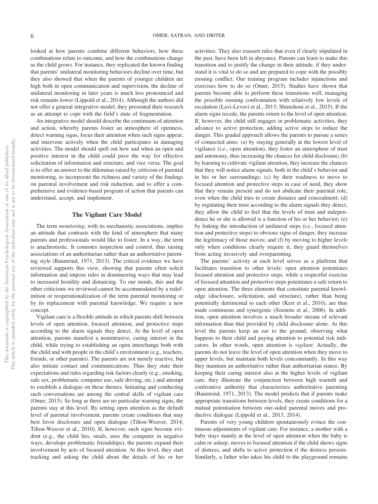looked at how parents combine different behaviors, how these combinations relate to outcome, and how the combinations change as the child grows. For instance, they replicated the known finding that parents' unilateral monitoring behaviors decline over time, but they also showed that when the parents of younger children are high both in open communication and supervision, the decline of unilateral monitoring in later years is much less pronounced and risk remains lower (Lippold et al., 2014). Although the authors did not offer a general integrative model, they presented their research as an attempt to cope with the field's state of fragmentation.

An integrative model should describe the continuum of attention and action, whereby parents foster an atmosphere of openness, detect warning signs, focus their attention when such signs appear, and intervene actively when the child participates in damaging activities. The model should spell out how and when an open and positive interest in the child could pave the way for effective solicitation of information and structure, and vice versa. The goal is to offer an answer to the dilemmas raised by criticism of parental monitoring, to incorporate the richness and variety of the findings on parental involvement and risk reduction, and to offer a comprehensive and evidence-based program of action that parents can understand, accept, and implement.

#### **The Vigilant Care Model**

The term *monitoring*, with its mechanistic associations, implies an attitude that contrasts with the kind of atmosphere that many parents and professionals would like to foster. In a way, the term is anachronistic. It connotes inspection and control, thus raising associations of an authoritarian rather than an authoritative parenting style (Baumrind, 1971, 2013). The critical evidence we have reviewed supports this view, showing that parents often solicit information and impose rules in domineering ways that may lead to increased hostility and distancing. To our minds, this and the other criticisms we reviewed cannot be accommodated by a redefinition or reoperationalization of the term parental monitoring or by its replacement with parental knowledge. We require a new concept.

Vigilant care is a flexible attitude in which parents shift between levels of open attention, focused attention, and protective steps according to the alarm signals they detect. At the level of open attention, parents manifest a nonintrusive, caring interest in the child, while trying to establishing an open interchange both with the child and with people in the child's environment (e.g., teachers, friends, or other parents). The parents are not merely reactive, but also initiate contact and communications. Thus they state their expectations and rules regarding risk factors clearly (e.g., smoking, safe sex, problematic computer use, safe driving, etc.) and attempt to establish a dialogue on these themes. Initiating and conducting such conversations are among the central skills of vigilant care (Omer, 2015). So long as there are no particular warning signs, the parents stay at this level. By setting open attention as the default level of parental involvement, parents create conditions that may best favor disclosure and open dialogue (Tilton-Weaver, 2014; Tilton-Weaver et al., 2010). If, however, such signs become evident (e.g., the child lies, steals, uses the computer in negative ways, develops problematic friendships), the parents expand their involvement by acts of focused attention. At this level, they start tracking and asking the child about the details of his or her

activities. They also reassert rules that even if clearly stipulated in the past, have been left in abeyance. Parents can learn to make this transition and to justify the change in their attitude, if they understand it is vital to do so and are prepared to cope with the possibly ensuing conflict. Our training program includes injunctions and exercises how to do so (Omer, 2015). Studies have shown that parents become able to perform these transitions well, managing the possible ensuing confrontation with relatively low levels of escalation (Lavi-Levavi et al., 2013; Shimshoni et al., 2015). If the alarm signs recede, the parents return to the level of open attention. If, however, the child still engages in problematic activities, they advance to active protection, adding active steps to reduce the danger. This graded approach allows the parents to pursue a series of connected aims: (a) by staying generally at the lowest level of vigilance (i.e., open attention), they foster an atmosphere of trust and autonomy, thus increasing the chances for child disclosure; (b) by learning to cultivate vigilant attention, they increase the chances that they will notice alarm signals, both in the child's behavior and in his or her surroundings; (c) by their readiness to move to focused attention and protective steps in case of need, they show that they remain present and do not abdicate their parental role, even when the child tries to create distance and concealment; (d) by regulating their trust according to the alarm signals they detect, they allow the child to feel that the levels of trust and independence he or she is allowed is a function of his or her behavior; (e) by linking the introduction of unilateral steps (i.e., focused attention and protective steps) to obvious signs of danger, they increase the legitimacy of those moves; and (f) by moving to higher levels only when conditions clearly require it, they guard themselves from acting invasively and overparenting.

The parents' activity at each level serves as a platform that facilitates transition to other levels: open attention potentiates focused attention and protective steps, while a respectful exercise of focused attention and protective steps potentiates a safe return to open attention. The three elements that constitute parental knowledge (disclosure, solicitation, and structure), rather than being potentially detrimental to each other (Kerr et al., 2010), are thus made continuous and synergistic (Soenens et al., 2006). In addition, open attention involves a much broader stream of relevant information than that provided by child disclosure alone. At this level the parents keep an ear to the ground, observing what happens to their child and paying attention to potential risk indicators. In other words, open attention is *vigilant*. Actually, the parents do not leave the level of open attention when they move to upper levels, but maintain both levels concomitantly. In this way they maintain an authoritative rather than authoritarian stance. By keeping their caring interest also at the higher levels of vigilant care, they illustrate the conjunction between high warmth and confrontive authority that characterizes authoritative parenting (Baumrind, 1971, 2013). The model predicts that if parents make appropriate transitions between levels, they create conditions for a mutual potentiation between one-sided parental moves and productive dialogue (Lippold et al., 2013, 2014).

Parents of very young children spontaneously evince the continuous adjustments of vigilant care. For instance, a mother with a baby stays mainly at the level of open attention when the baby is calm or asleep, moves to focused attention if the child shows signs of distress, and shifts to active protection if the distress persists. Similarly, a father who takes his child to the playground remains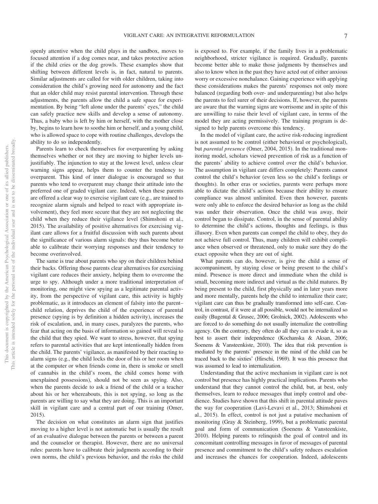openly attentive when the child plays in the sandbox, moves to focused attention if a dog comes near, and takes protective action if the child cries or the dog growls. These examples show that shifting between different levels is, in fact, natural to parents. Similar adjustments are called for with older children, taking into consideration the child's growing need for autonomy and the fact that an older child may resist parental intervention. Through these adjustments, the parents allow the child a safe space for experimentation. By being "left alone under the parents' eyes," the child can safely practice new skills and develop a sense of autonomy. Thus, a baby who is left by him or herself, with the mother close by, begins to learn how to soothe him or herself, and a young child, who is allowed space to cope with routine challenges, develops the ability to do so independently.

Parents learn to check themselves for overparenting by asking themselves whether or not they are moving to higher levels unjustifiably. The injunction to stay at the lowest level, unless clear warning signs appear, helps them to counter the tendency to overparent. This kind of inner dialogue is encouraged so that parents who tend to overparent may change their attitude into the preferred one of graded vigilant care. Indeed, when these parents are offered a clear way to exercise vigilant care (e.g., are trained to recognize alarm signals and helped to react with appropriate involvement), they feel more secure that they are not neglecting the child when they reduce their vigilance level (Shimshoni et al., 2015). The availability of positive alternatives for exercising vigilant care allows for a fruitful discussion with such parents about the significance of various alarm signals: they thus become better able to calibrate their worrying responses and their tendency to become overinvolved.

The same is true about parents who spy on their children behind their backs. Offering those parents clear alternatives for exercising vigilant care reduces their anxiety, helping them to overcome the urge to spy. Although under a more traditional interpretation of monitoring, one might view spying as a legitimate parental activity, from the perspective of vigilant care, this activity is highly problematic, as it introduces an element of falsity into the parent– child relation, deprives the child of the experience of parental presence (spying is by definition a hidden activity), increases the risk of escalation, and, in many cases, paralyzes the parents, who fear that acting on the basis of information so gained will reveal to the child that they spied. We want to stress, however, that spying refers to parental activities that are kept intentionally hidden from the child. The parents' vigilance, as manifested by their reacting to alarm signs (e.g., the child locks the door of his or her room when at the computer or when friends come in, there is smoke or smell of cannabis in the child's room, the child comes home with unexplained possessions), should not be seen as spying. Also, when the parents decide to ask a friend of the child or a teacher about his or her whereabouts, this is not spying, so long as the parents are willing to say what they are doing. This is an important skill in vigilant care and a central part of our training (Omer, 2015).

The decision on what constitutes an alarm sign that justifies moving to a higher level is not automatic but is usually the result of an evaluative dialogue between the parents or between a parent and the counselor or therapist. However, there are no universal rules: parents have to calibrate their judgments according to their own norms, the child's previous behavior, and the risks the child is exposed to. For example, if the family lives in a problematic neighborhood, stricter vigilance is required. Gradually, parents become better able to make those judgments by themselves and also to know when in the past they have acted out of either anxious worry or excessive nonchalance. Gaining experience with applying these considerations makes the parents' responses not only more balanced (regarding both over- and underparenting) but also helps the parents to feel surer of their decisions. If, however, the parents are aware that the warning signs are worrisome and in spite of this are unwilling to raise their level of vigilant care, in terms of the model they are acting permissively. The training program is designed to help parents overcome this tendency.

In the model of vigilant care, the active risk-reducing ingredient is not assumed to be control (either behavioral or psychological), but *parental presence* (Omer, 2004, 2015). In the traditional monitoring model, scholars viewed prevention of risk as a function of the parents' ability to achieve control over the child's behavior. The assumption in vigilant care differs completely: Parents cannot control the child's behavior (even less so the child's feelings or thoughts). In other eras or societies, parents were perhaps more able to dictate the child's actions because their ability to ensure compliance was almost unlimited. Even then however, parents were only able to enforce the desired behavior as long as the child was under their observation. Once the child was away, their control began to dissipate. Control, in the sense of parental ability to determine the child's actions, thoughts and feelings, is thus illusory. Even when parents can compel the child to obey, they do not achieve full control. Thus, many children will exhibit compliance when observed or threatened, only to make sure they do the exact opposite when they are out of sight.

What parents can do, however, is give the child a sense of accompaniment, by staying close or being present to the child's mind. Presence is more direct and immediate when the child is small, becoming more indirect and virtual as the child matures. By being present to the child, first physically and in later years more and more mentally, parents help the child to internalize their care; vigilant care can thus be gradually transformed into self-care. Control, in contrast, if it were at all possible, would not be internalized so easily (Bugental & Grusec, 2006; Grolnick, 2002). Adolescents who are forced to do something do not usually internalize the controlling agency. On the contrary, they often do all they can to evade it, so as best to assert their independence (Kochanska & Aksan, 2006; Soenens & Vansteenkiste, 2010). The idea that risk prevention is mediated by the parents' presence in the mind of the child can be traced back to the sixties' (Hirschi, 1969). It was this presence that was assumed to lead to internalization.

Understanding that the active mechanism in vigilant care is not control but presence has highly practical implications. Parents who understand that they cannot control the child, but, at best, only themselves, learn to reduce messages that imply control and obedience. Studies have shown that this shift in parental attitude paves the way for cooperation (Lavi-Levavi et al., 2013; Shimshoni et al., 2015). In effect, control is not just a putative mechanism of monitoring (Gray & Steinberg, 1999), but a problematic parental goal and form of communication (Soenens & Vansteenkiste, 2010). Helping parents to relinquish the goal of control and its concomitant controlling messages in favor of messages of parental presence and commitment to the child's safety reduces escalation and increases the chances for cooperation. Indeed, adolescents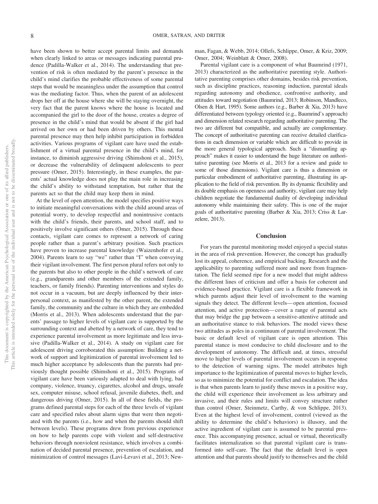have been shown to better accept parental limits and demands when clearly linked to areas or messages indicating parental prudence (Padilla-Walker et al., 2014). The understanding that prevention of risk is often mediated by the parent's presence in the child's mind clarifies the probable effectiveness of some parental steps that would be meaningless under the assumption that control was the mediating factor. Thus, when the parent of an adolescent drops her off at the house where she will be staying overnight, the very fact that the parent knows where the house is located and accompanied the girl to the door of the house, creates a degree of presence in the child's mind that would be absent if the girl had arrived on her own or had been driven by others. This mental parental presence may then help inhibit participation in forbidden activities. Various programs of vigilant care have used the establishment of a virtual parental presence in the child's mind, for instance, to diminish aggressive driving (Shimshoni et al., 2015), or decrease the vulnerability of delinquent adolescents to peer pressure (Omer, 2015). Interestingly, in these examples, the parents' actual knowledge does not play the main role in increasing the child's ability to withstand temptation, but rather that the parents act so that the child may keep them in mind.

At the level of open attention, the model specifies positive ways to initiate meaningful conversations with the child around areas of potential worry, to develop respectful and nonintrusive contacts with the child's friends, their parents, and school staff, and to positively involve significant others (Omer, 2015). Through these contacts, vigilant care comes to represent a network of caring people rather than a parent's arbitrary position. Such practices have proven to increase parental knowledge (Waizenhofer et al., 2004). Parents learn to say "we" rather than "I" when conveying their vigilant involvement. The first person plural refers not only to the parents but also to other people in the child's network of care (e.g., grandparents and other members of the extended family, teachers, or family friends). Parenting interventions and styles do not occur in a vacuum, but are deeply influenced by their interpersonal context, as manifested by the other parent, the extended family, the community and the culture in which they are embedded (Morris et al., 2013). When adolescents understand that the parents' passage to higher levels of vigilant care is supported by the surrounding context and abetted by a network of care, they tend to experience parental involvement as more legitimate and less invasive (Padilla-Walker et al., 2014). A study on vigilant care for adolescent driving corroborated this assumption: Building a network of support and legitimization of parental involvement led to much higher acceptance by adolescents than the parents had previously thought possible (Shimshoni et al., 2015). Programs of vigilant care have been variously adapted to deal with lying, bad company, violence, truancy, cigarettes, alcohol and drugs, unsafe sex, computer misuse, school refusal, juvenile diabetes, theft, and dangerous driving (Omer, 2015). In all of these fields, the programs defined parental steps for each of the three levels of vigilant care and specified rules about alarm signs that were then negotiated with the parents (i.e., how and when the parents should shift between levels). These programs drew from previous experience on how to help parents cope with violent and self-destructive behaviors through nonviolent resistance, which involves a combination of decided parental presence, prevention of escalation, and minimization of control messages (Lavi-Levavi et al., 2013; Newman, Fagan, & Webb, 2014; Ollefs, Schlippe, Omer, & Kriz, 2009; Omer, 2004; Weinblatt & Omer, 2008).

Parental vigilant care is a component of what Baumrind (1971, 2013) characterized as the authoritative parenting style. Authoritative parenting comprises other domains, besides risk prevention, such as discipline practices, reasoning induction, parental ideals regarding autonomy and obedience, confrontive authority, and attitudes toward negotiation (Baumrind, 2013; Robinson, Mandleco, Olsen & Hart, 1995). Some authors (e.g., Barber & Xia, 2013) have differentiated between typology oriented (e.g., Baumrind's approach) and dimension related research regarding authoritative parenting. The two are different but compatible, and actually are complementary. The concept of authoritative parenting can receive detailed clarifications in each dimension or variable which are difficult to provide in the more general typological approach. Such a "dismantling approach" makes it easier to understand the huge literature on authoritative parenting (see Morris et al., 2013 for a review and guide to some of those dimensions). Vigilant care is thus a dimension or particular embodiment of authoritative parenting, illustrating its application to the field of risk prevention. By its dynamic flexibility and its double emphasis on openness and authority, vigilant care may help children negotiate the fundamental duality of developing individual autonomy while maintaining their safety. This is one of the major goals of authoritative parenting (Barber & Xia, 2013; Criss & Larzelere, 2013).

#### **Conclusion**

For years the parental monitoring model enjoyed a special status in the area of risk prevention. However, the concept has gradually lost its appeal, coherence, and empirical backing. Research and the applicability to parenting suffered more and more from fragmentation. The field seemed ripe for a new model that might address the different lines of criticism and offer a basis for coherent and evidence-based practice. Vigilant care is a flexible framework in which parents adjust their level of involvement to the warning signals they detect. The different levels— open attention, focused attention, and active protection— cover a range of parental acts that may bridge the gap between a sensitive-attentive attitude and an authoritative stance to risk behaviors. The model views these two attitudes as poles in a continuum of parental involvement. The basic or default level of vigilant care is open attention. This parental stance is most conducive to child disclosure and to the development of autonomy. The difficult and, at times, stressful move to higher levels of parental involvement occurs in response to the detection of warning signs. The model attributes high importance to the legitimization of parental moves to higher levels, so as to minimize the potential for conflict and escalation. The idea is that when parents learn to justify these moves in a positive way, the child will experience their involvement as less arbitrary and invasive, and their rules and limits will convey structure rather than control (Omer, Steinmetz, Carthy, & von Schlippe, 2013). Even at the highest level of involvement, control (viewed as the ability to determine the child's behaviors) is illusory, and the active ingredient of vigilant care is assumed to be parental presence. This accompanying presence, actual or virtual, theoretically facilitates internalization so that parental vigilant care is transformed into self-care. The fact that the default level is open attention and that parents should justify to themselves and the child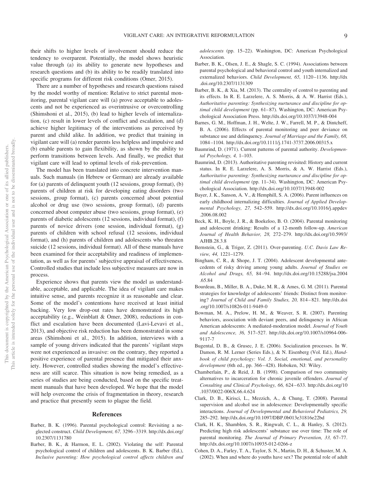their shifts to higher levels of involvement should reduce the tendency to overparent. Potentially, the model shows heuristic value through (a) its ability to generate new hypotheses and research questions and (b) its ability to be readily translated into specific programs for different risk conditions (Omer, 2015).

There are a number of hypotheses and research questions raised by the model worthy of mention: Relative to strict parental monitoring, parental vigilant care will (a) prove acceptable to adolescents and not be experienced as overintrusive or overcontrolling (Shimshoni et al., 2015), (b) lead to higher levels of internalization, (c) result in lower levels of conflict and escalation, and (d) achieve higher legitimacy of the interventions as perceived by parent and child alike. In addition, we predict that training in vigilant care will (a) render parents less helpless and impulsive and (b) enable parents to gain flexibility, as shown by the ability to perform transitions between levels. And finally, we predict that vigilant care will lead to optimal levels of risk-prevention.

The model has been translated into concrete intervention manuals. Such manuals (in Hebrew or German) are already available for (a) parents of delinquent youth (12 sessions, group format), (b) parents of children at risk for developing eating disorders (two sessions, group format), (c) parents concerned about potential alcohol or drug use (two sessions, group format), (d) parents concerned about computer abuse (two sessions, group format), (e) parents of diabetic adolescents (12 sessions, individual format), (f) parents of novice drivers (one session, individual format), (g) parents of children with school refusal (12 sessions, individual format), and (h) parents of children and adolescents who threaten suicide (12 sessions, individual format). All of these manuals have been examined for their acceptability and readiness of implementation, as well as for parents' subjective appraisal of effectiveness. Controlled studies that include less subjective measures are now in process.

Experience shows that parents view the model as understandable, acceptable, and applicable. The idea of vigilant care makes intuitive sense, and parents recognize it as reasonable and clear. Some of the model's contentions have received at least initial backing. Very low drop-out rates have demonstrated its high acceptability (e.g., Weinblatt & Omer, 2008), reductions in conflict and escalation have been documented (Lavi-Levavi et al., 2013), and objective risk reduction has been demonstrated in some areas (Shimshoni et al., 2015). In addition, interviews with a sample of young drivers indicated that the parents' vigilant steps were not experienced as invasive: on the contrary, they reported a positive experience of parental presence that mitigated their anxiety. However, controlled studies showing the model's effectiveness are still scarce. This situation is now being remedied, as a series of studies are being conducted, based on the specific treatment manuals that have been developed. We hope that the model will help overcome the crisis of fragmentation in theory, research and practice that presently seem to plague the field.

#### **References**

- Barber, B. K. (1996). Parental psychological control: Revisiting a neglected construct. *Child Development, 67,* 3296 –3319. http://dx.doi.org/ 10.2307/1131780
- Barber, B. K., & Harmon, E. L. (2002). Violating the self: Parental psychological control of children and adolescents. B. K. Barber (Ed.), *Inclusive parenting: How psychological control affects children and*

*adolescents* (pp. 15–22). Washington, DC: American Psychological Association.

- Barber, B. K., Olsen, J. E., & Shagle, S. C. (1994). Associations between parental psychological and behavioral control and youth internalized and externalized behaviors. *Child Development, 65,* 1120 –1136. http://dx .doi.org/10.2307/1131309
- Barber, B. K., & Xia, M. (2013). The centrality of control to parenting and its effects. In R. E. Larzelere, A. S. Morris, & A. W. Harrist (Eds.), *Authoritative parenting: Synthesizing nurturance and discipline for optimal child development* (pp. 61– 87). Washington, DC: American Psychological Association Press. http://dx.doi.org/10.1037/13948-004
- Barnes, G. M., Hoffman, J. H., Welte, J. W., Farrell, M. P., & Dintcheff, B. A. (2006). Effects of parental monitoring and peer deviance on substance use and delinquency. *Journal of Marriage and the Family, 68,* 1084 –1104. http://dx.doi.org/10.1111/j.1741-3737.2006.00315.x
- Baumrind, D. (1971). Current patterns of parental authority. *Developmental Psychology, 4,* 1–103.
- Baumrind, D. (2013). Authoritative parenting revisited: History and current status. In R. E. Larzelere, A. S. Morris, & A. W. Harrist (Eds.), *Authoritative parenting: Synthesizing nurturance and discipline for optimal child development* (pp. 11–34). Washington, DC: American Psychological Association. http://dx.doi.org/10.1037/13948-002
- Bayer, J. K., Sanson, A. V., & Hemphill, S. A. (2006). Parent influences on early childhood internalizing difficulties. *Journal of Applied Developmental Psychology, 27,* 542–559. http://dx.doi.org/10.1016/j.appdev .2006.08.002
- Beck, K. H., Boyle, J. R., & Boekeloo, B. O. (2004). Parental monitoring and adolescent drinking: Results of a 12-month follow-up. *American Journal of Health Behavior, 28,* 272–279. http://dx.doi.org/10.5993/ AJHB.28.3.8
- Bernstein, G., & Triger, Z. (2011). Over-parenting. *U.C. Davis Law Review, 44,* 1221–1279.
- Bingham, C. R., & Shope, J. T. (2004). Adolescent developmental antecedents of risky driving among young adults. *Journal of Studies on Alcohol and Drugs, 65,* 84 –94. http://dx.doi.org/10.15288/jsa.2004 .65.84
- Bourdeau, B., Miller, B. A., Duke, M. R., & Ames, G. M. (2011). Parental strategies for knowledge of adolescents' friends: Distinct from monitoring? *Journal of Child and Family Studies, 20,* 814 – 821. http://dx.doi .org/10.1007/s10826-011-9449-0
- Bowman, M. A., Prelow, H. M., & Weaver, S. R. (2007). Parenting behaviors, association with deviant peers, and delinquency in African American adolescents: A mediated-moderation model. *Journal of Youth and Adolescence, 36,* 517–527. http://dx.doi.org/10.1007/s10964-006- 9117-7
- Bugental, D. B., & Grusec, J. E. (2006). Socialization processes. In W. Damon, R. M. Lerner (Series Eds.), & N. Eisenberg (Vol. Ed.), *Handbook of child psychology: Vol. 3*. *Social, emotional, and personality development* (6th ed., pp. 366 – 428). Hoboken, NJ: Wiley.
- Chamberlain, P., & Reid, J. B. (1998). Comparison of two community alternatives to incarceration for chronic juvenile offenders. *Journal of Consulting and Clinical Psychology, 66,* 624 – 633. http://dx.doi.org/10 .1037/0022-006X.66.4.624
- Clark, D. B., Kirisci, L., Mezzich, A., & Chung, T. (2008). Parental supervision and alcohol use in adolescence: Developmentally specific interactions. *Journal of Developmental and Behavioral Pediatrics, 29,* 285–292. http://dx.doi.org/10.1097/DBP.0b013e31816e22bd
- Clark, H. K., Shamblen, S. R., Ringwalt, C. L., & Hanley, S. (2012). Predicting high risk adolescents' substance use over time: The role of parental monitoring. *The Journal of Primary Prevention, 33,* 67–77. http://dx.doi.org/10.1007/s10935-012-0266-z
- Cohen, D. A., Farley, T. A., Taylor, S. N., Martin, D. H., & Schuster, M. A. (2002). When and where do youths have sex? The potential role of adult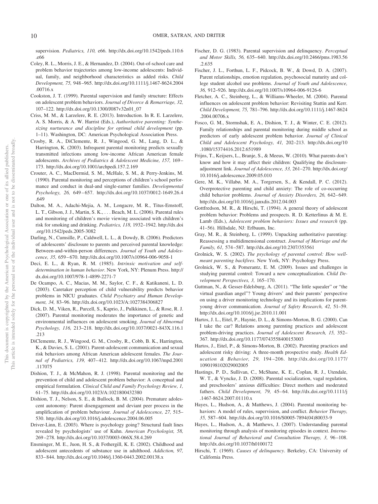supervision. *Pediatrics, 110,* e66. http://dx.doi.org/10.1542/peds.110.6 .e66

- Coley, R. L., Morris, J. E., & Hernandez, D. (2004). Out-of-school care and problem behavior trajectories among low-income adolescents: Individual, family, and neighborhood characteristics as added risks. *Child Development, 75,* 948 –965. http://dx.doi.org/10.1111/j.1467-8624.2004 .00716.x
- Cookston, J. T. (1999). Parental supervision and family structure: Effects on adolescent problem behaviors. *Journal of Divorce & Remarriage, 32,* 107–122. http://dx.doi.org/10.1300/J087v32n01\_07
- Criss, M. M., & Larzelere, R. E. (2013). Introduction. In R. E. Larzelere, A. S. Morris, & A. W. Harrist (Eds.), *Authoritative parenting: Synthesizing nurturance and discipline for optimal child development* (pp. 1–11). Washington, DC: American Psychological Association Press.
- Crosby, R. A., DiClemente, R. J., Wingood, G. M., Lang, D. L., & Harrington, K. (2003). Infrequent parental monitoring predicts sexually transmitted infections among low-income African American female adolescents. *Archives of Pediatrics & Adolescent Medicine, 157,* 169 – 173. http://dx.doi.org/10.1001/archpedi.157.2.169
- Crouter, A. C., MacDermid, S. M., McHale, S. M., & Perry-Jenkins, M. (1990). Parental monitoring and perceptions of children's school performance and conduct in dual-and single-earner families. *Developmental Psychology, 26,* 649 – 657. http://dx.doi.org/10.1037/0012-1649.26.4 .649
- Dalton, M. A., Adachi-Mejia, A. M., Longacre, M. R., Titus-Ernstoff, L. T., Gibson, J. J., Martin, S. K., . . . Beach, M. L. (2006). Parental rules and monitoring of children's movie viewing associated with children's risk for smoking and drinking. *Pediatrics, 118,* 1932–1942. http://dx.doi .org/10.1542/peds.2005-3082
- Darling, N., Cumsille, P., Caldwell, L. L., & Dowdy, B. (2006). Predictors of adolescents' disclosure to parents and perceived parental knowledge: Between-and-within-person differences. *Journal of Youth and Adolescence, 35,* 659 – 670. http://dx.doi.org/10.1007/s10964-006-9058-1
- Deci, E. L., & Ryan, R. M. (1985). *Intrinsic motivation and selfdetermination in human behavior*. New York, NY: Plenum Press. http:// dx.doi.org/10.1007/978-1-4899-2271-7
- De Ocampo, A. C., Macias, M. M., Saylor, C. F., & Katikaneni, L. D. (2003). Caretaker perception of child vulnerability predicts behavior problems in NICU graduates. *Child Psychiatry and Human Development, 34,* 83–96. http://dx.doi.org/10.1023/A:1027384306827
- Dick, D. M., Viken, R., Purcell, S., Kaprio, J., Pulkkinen, L., & Rose, R. J. (2007). Parental monitoring moderates the importance of genetic and environmental influences on adolescent smoking. *Journal of Abnormal Psychology, 116,* 213–218. http://dx.doi.org/10.1037/0021-843X.116.1 .213
- DiClemente, R. J., Wingood, G. M., Crosby, R., Cobb, B. K., Harrington, K., & Davies, S. L. (2001). Parent-adolescent communication and sexual risk behaviors among African American adolescent females. *The Journal of Pediatrics, 139,* 407– 412. http://dx.doi.org/10.1067/mpd.2001 .117075
- Dishion, T. J., & McMahon, R. J. (1998). Parental monitoring and the prevention of child and adolescent problem behavior: A conceptual and empirical formulation. *Clinical Child and Family Psychology Review, 1,* 61–75. http://dx.doi.org/10.1023/A:1021800432380
- Dishion, T. J., Nelson, S. E., & Bullock, B. M. (2004). Premature adolescent autonomy: Parent disengagement and deviant peer process in the amplification of problem behaviour. *Journal of Adolescence, 27,* 515– 530. http://dx.doi.org/10.1016/j.adolescence.2004.06.005
- Driver-Linn, E. (2003). Where is psychology going? Structural fault lines revealed by psychologists' use of Kuhn. *American Psychologist, 58,* 269 –278. http://dx.doi.org/10.1037/0003-066X.58.4.269
- Ensminger, M. E., Juon, H. S., & Fothergill, K. E. (2002). Childhood and adolescent antecedents of substance use in adulthood. *Addiction, 97,* 833– 844. http://dx.doi.org/10.1046/j.1360-0443.2002.00138.x
- Fischer, D. G. (1983). Parental supervision and delinquency. *Perceptual and Motor Skills, 56,* 635– 640. http://dx.doi.org/10.2466/pms.1983.56 .2.635
- Fischer, J. L., Forthun, L. F., Pidcock, B. W., & Dowd, D. A. (2007). Parent relationships, emotion regulation, psychosocial maturity and college student alcohol use problems. *Journal of Youth and Adolescence, 36,* 912–926. http://dx.doi.org/10.1007/s10964-006-9126-6
- Fletcher, A. C., Steinberg, L., & Williams-Wheeler, M. (2004). Parental influences on adolescent problem behavior: Revisiting Stattin and Kerr. *Child Development, 75,* 781–796. http://dx.doi.org/10.1111/j.1467-8624 .2004.00706.x
- Fosco, G. M., Stormshak, E. A., Dishion, T. J., & Winter, C. E. (2012). Family relationships and parental monitoring during middle school as predictors of early adolescent problem behavior. *Journal of Clinical Child and Adolescent Psychology, 41,* 202–213. http://dx.doi.org/10 .1080/15374416.2012.651989
- Frijns, T., Keijsers, L., Branje, S., & Meeus, W. (2010). What parents don't know and how it may affect their children: Qualifying the disclosureadjustment link. *Journal of Adolescence, 33,* 261–270. http://dx.doi.org/ 10.1016/j.adolescence.2009.05.010
- Gere, M. K., Villabø, M. A., Torgersen, S., & Kendall, P. C. (2012). Overprotective parenting and child anxiety: The role of co-occurring child behavior problems. *Journal of Anxiety Disorders*, 26, 642-649. http://dx.doi.org/10.1016/j.janxdis.2012.04.003
- Gottfredson, M. R., & Hirschi, T. (1994). A general theory of adolescent problem behavior: Problems and prospects. R. D. Ketterlinus & M. E. Lamb (Eds.), *Adolescent problem behaviors: Issues and research* (pp. 41–56). Hillsdale, NJ: Erlbaum, Inc.
- Gray, M. R., & Steinberg, L. (1999). Unpacking authoritative parenting: Reassessing a multidimensional construct. *Journal of Marriage and the Family, 61,* 574 –587. http://dx.doi.org/10.2307/353561
- Grolnick, W. S. (2002). *The psychology of parental control: How wellmeant parenting backfires*. New York, NY: Psychology Press.
- Grolnick, W. S., & Pomerantz, E. M. (2009). Issues and challenges in studying parental control: Toward a new conceptualization. *Child Development Perspectives, 3,* 165–170.
- Guttman, N., & Gesser-Edelsburg, A. (2011). "The little squealer" or "the virtual guardian angel"? Young drivers' and their parents' perspective on using a driver monitoring technology and its implications for parentyoung driver communication. *Journal of Safety Research, 42,* 51–59. http://dx.doi.org/10.1016/j.jsr.2010.11.001
- Hartos, J. L., Eitel, P., Haynie, D. L., & Simons-Morton, B. G. (2000). Can I take the car? Relations among parenting practices and adolescent problem-driving practices. *Journal of Adolescent Research, 15,* 352– 367. http://dx.doi.org/10.1177/0743558400153003
- Hartos, J., Eitel, P., & Simons-Morton, B. (2002). Parenting practices and adolescent risky driving: A three-month prospective study. *Health Education & Behavior, 29,* 194 –206. http://dx.doi.org/10.1177/ 1090198102029002005
- Hastings, P. D., Sullivan, C., McShane, K. E., Coplan, R. J., Utendale, W. T., & Vyncke, J. D. (2008). Parental socialization, vagal regulation, and preschoolers' anxious difficulties: Direct mothers and moderated fathers. *Child Development, 79, 45*-64. http://dx.doi.org/10.1111/j .1467-8624.2007.01110.x
- Hayes, L., Hudson, A., & Matthews, J. (2004). Parental monitoring behaviors: A model of rules, supervision, and conflict. *Behavior Therapy, 35,* 587– 604. http://dx.doi.org/10.1016/S0005-7894(04)80033-9
- Hayes, L., Hudson, A., & Matthews, J. (2007). Understanding parental monitoring through analysis of monitoring episodes in context. *International Journal of Behavioral and Consultation Therapy, 3,* 96 –108. http://dx.doi.org/10.1037/h0100172
- Hirschi, T. (1969). *Causes of delinquency*. Berkeley, CA: University of California Press.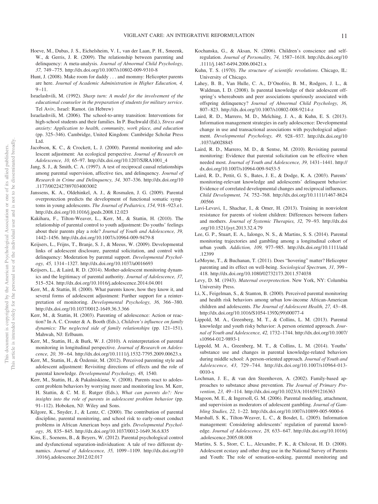- Hoeve, M., Dubas, J. S., Eichelsheim, V. I., van der Laan, P. H., Smeenk, W., & Gerris, J. R. (2009). The relationship between parenting and delinquency: A meta-analysis. *Journal of Abnormal Child Psychology, 37,* 749 –775. http://dx.doi.org/10.1007/s10802-009-9310-8
- Hunt, J. (2008). Make room for daddy . . . and mommy: Helicopter parents are here. *Journal of Academic Administration in Higher Education, 4,*  $9 - 11$ .
- Israelashvili, M. (1992). *Sharp turn: A model for the involvement of the educational counselor in the preparation of students for military service*. Tel Aviv, Israel: Ramot. (in Hebrew)
- Israelashvili, M. (2006). The school-to-army transition: Interventions for high-school students and their families. In P. Buchwald (Ed.), *Stress and anxiety: Application to health, community, work place, and education* (pp. 325–346). Cambridge, United Kingdom: Cambridge Scholar Press Ltd.
- Jacobson, K. C., & Crockett, L. J. (2000). Parental monitoring and adolescent adjustment: An ecological perspective. *Journal of Research on Adolescence, 10,* 65–97. http://dx.doi.org/10.1207/SJRA1001\_4
- Jang, S. J., & Smith, C. A. (1997). A test of reciprocal causal relationships among parental supervision, affective ties, and delinquency. *Journal of Research in Crime and Delinquency, 34,* 307–336. http://dx.doi.org/10 .1177/0022427897034003002
- Janssens, K. A., Oldehinkel, A. J., & Rosmalen, J. G. (2009). Parental overprotection predicts the development of functional somatic symptoms in young adolescents. *The Journal of Pediatrics, 154,* 918 –923.e1. http://dx.doi.org/10.1016/j.jpeds.2008.12.023
- Kakihara, F., Tilton-Weaver, L., Kerr, M., & Stattin, H. (2010). The relationship of parental control to youth adjustment: Do youths' feelings about their parents play a role? *Journal of Youth and Adolescence, 39,* 1442–1456. http://dx.doi.org/10.1007/s10964-009-9479-8
- Keijsers, L., Frijns, T., Branje, S. J., & Meeus, W. (2009). Developmental links of adolescent disclosure, parental solicitation, and control with delinquency: Moderation by parental support. *Developmental Psychology, 45,* 1314 –1327. http://dx.doi.org/10.1037/a0016693
- Keijsers, L., & Laird, R. D. (2014). Mother-adolescent monitoring dynamics and the legitimacy of parental authority. *Journal of Adolescence, 37,* 515–524. http://dx.doi.org/10.1016/j.adolescence.2014.04.001
- Kerr, M., & Stattin, H. (2000). What parents know, how they know it, and several forms of adolescent adjustment: Further support for a reinterpretation of monitoring. *Developmental Psychology, 36,* 366 –380. http://dx.doi.org/10.1037/0012-1649.36.3.366
- Kerr, M., & Stattin, H. (2003). Parenting of adolescence: Action or reaction? In A. C. Crouter & A. Booth (Eds.), *Children's influence on family dynamics: The neglected side of family relationships* (pp. 121–151). Mahwah, NJ: Erlbaum.
- Kerr, M., Stattin, H., & Burk, W. J. (2010). A reinterpretation of parental monitoring in longitudinal perspective. *Journal of Research on Adolescence, 20,* 39 – 64. http://dx.doi.org/10.1111/j.1532-7795.2009.00623.x
- Kerr, M., Stattin, H., & Özdemir, M. (2012). Perceived parenting style and adolescent adjustment: Revisiting directions of effects and the role of parental knowledge. *Developmental Psychology, 48,* 1540.
- Kerr, M., Stattin, H., & Pakalniskiene, V. (2008). Parents react to adolescent problem behaviors by worrying more and monitoring less. M. Kerr, H. Stattin, & C. M. E. Rutger (Eds.), *What can parents do?: New insights into the role of parents in adolescent problem behavior* (pp. 91–112). Hoboken, NJ: Wiley and Sons.
- Kilgore, K., Snyder, J., & Lentz, C. (2000). The contribution of parental discipline, parental monitoring, and school risk to early-onset conduct problems in African American boys and girls. *Developmental Psychology, 36,* 835– 845. http://dx.doi.org/10.1037/0012-1649.36.6.835
- Kins, E., Soenens, B., & Beyers, W. (2012). Parental psychological control and dysfunctional separation-individuation: A tale of two different dynamics. *Journal of Adolescence, 35,* 1099 –1109. http://dx.doi.org/10 .1016/j.adolescence.2012.02.017
- Kochanska, G., & Aksan, N. (2006). Children's conscience and selfregulation. *Journal of Personality, 74,* 1587–1618. http://dx.doi.org/10 .1111/j.1467-6494.2006.00421.x
- Kuhn, T. S. (1970). *The structure of scientific revolutions*. Chicago, IL: University of Chicago.
- Lahey, B. B., Van Hulle, C. A., D'Onofrio, B. M., Rodgers, J. L., & Waldman, I. D. (2008). Is parental knowledge of their adolescent offspring's whereabouts and peer associations spuriously associated with offspring delinquency? *Journal of Abnormal Child Psychology, 36,* 807– 823. http://dx.doi.org/10.1007/s10802-008-9214-z
- Laird, R. D., Marrero, M. D., Melching, J. A., & Kuhn, E. S. (2013). Information management strategies in early adolescence: Developmental change in use and transactional associations with psychological adjustment. *Developmental Psychology, 49,* 928 –937. http://dx.doi.org/10 .1037/a0028845
- Laird, R. D., Marrero, M. D., & Sentse, M. (2010). Revisiting parental monitoring: Evidence that parental solicitation can be effective when needed most. *Journal of Youth and Adolescence, 39,* 1431–1441. http:// dx.doi.org/10.1007/s10964-009-9453-5
- Laird, R. D., Pettit, G. S., Bates, J. E., & Dodge, K. A. (2003). Parents' monitoring-relevant knowledge and adolescents' delinquent behavior: Evidence of correlated developmental changes and reciprocal influences. *Child Development, 74,* 752–768. http://dx.doi.org/10.1111/1467-8624 .00566
- Lavi-Levavi, I., Shachar, I., & Omer, H. (2013). Training in nonviolent resistance for parents of violent children: Differences between fathers and mothers. *Journal of Systemic Therapies, 32,* 79 –93. http://dx.doi .org/10.1521/jsyt.2013.32.4.79
- Lee, G. P., Stuart, E. A., Ialongo, N. S., & Martins, S. S. (2014). Parental monitoring trajectories and gambling among a longitudinal cohort of urban youth. *Addiction, 109,* 977–985. http://dx.doi.org/10.1111/add .12399
- LeMoyne, T., & Buchanan, T. (2011). Does "hovering" matter? Helicopter parenting and its effect on well-being. *Sociological Spectrum, 31,* 399 – 418. http://dx.doi.org/10.1080/02732173.2011.574038
- Levy, D. M. (1943). *Maternal overprotection*. New York, NY: Columbia University Press.
- Li, X., Feigelman, S., & Stanton, B. (2000). Perceived parental monitoring and health risk behaviors among urban low-income African-American children and adolescents. *The Journal of Adolescent Health, 27,* 43– 48. http://dx.doi.org/10.1016/S1054-139X(99)00077-4
- Lippold, M. A., Greenberg, M. T., & Collins, L. M. (2013). Parental knowledge and youth risky behavior: A person oriented approach. *Journal of Youth and Adolescence, 42,* 1732–1744. http://dx.doi.org/10.1007/ s10964-012-9893-1
- Lippold, M. A., Greenberg, M. T., & Collins, L. M. (2014). Youths' substance use and changes in parental knowledge-related behaviors during middle school: A person-oriented approach. *Journal of Youth and Adolescence, 43,* 729 –744. http://dx.doi.org/10.1007/s10964-013- 0010-x
- Lochman, J. E., & van den Steenhoven, A. (2002). Family-based approaches to substance abuse prevention. *The Journal of Primary Prevention, 23,* 49 –114. http://dx.doi.org/10.1023/A:1016591216363
- Magoon, M. E., & Ingersoll, G. M. (2006). Parental modeling, attachment, and supervision as moderators of adolescent gambling. *Journal of Gambling Studies, 22,* 1–22. http://dx.doi.org/10.1007/s10899-005-9000-6
- Marshall, S. K., Tilton-Weaver, L. C., & Bosdet, L. (2005). Information management: Considering adolescents' regulation of parental knowledge. *Journal of Adolescence, 28,* 633– 647. http://dx.doi.org/10.1016/j .adolescence.2005.08.008
- Martins, S. S., Storr, C. L., Alexandre, P. K., & Chilcoat, H. D. (2008). Adolescent ecstasy and other drug use in the National Survey of Parents and Youth: The role of sensation-seeking, parental monitoring and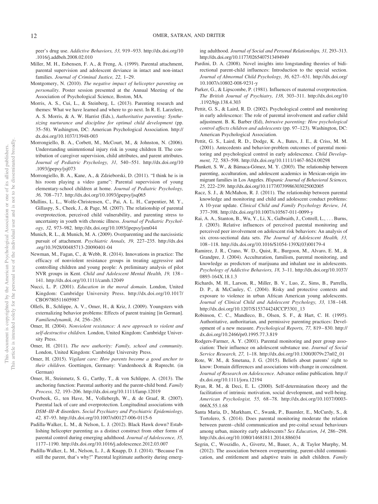peer's drug use. *Addictive Behaviors, 33,* 919 –933. http://dx.doi.org/10 .1016/j.addbeh.2008.02.010

- Miller, M. H., Esbensen, F. A., & Freng, A. (1999). Parental attachment, parental supervision and adolescent deviance in intact and non-intact families. *Journal of Criminal Justice, 22,* 1–29.
- Montgomery, N. (2010). *The negative impact of helicopter parenting on personality*. Poster session presented at the Annual Meeting of the Association of Psychological Science, Boston, MA.
- Morris, A. S., Cui, L., & Steinberg, L. (2013). Parenting research and themes: What we have learned and where to go next. In R. E. Larzelere, A. S. Morris, & A. W. Harrist (Eds.), *Authoritative parenting: Synthesizing nurturance and discipline for optimal child development* (pp. 35–58). Washington, DC: American Psychological Association. http:// dx.doi.org/10.1037/13948-003
- Morrongiello, B. A., Corbett, M., McCourt, M., & Johnston, N. (2006). Understanding unintentional injury risk in young children II. The contribution of caregiver supervision, child attributes, and parent attributes. *Journal of Pediatric Psychology, 31,* 540 –551. http://dx.doi.org/10 .1093/jpepsy/jsj073
- Morrongiello, B. A., Kane, A., & Zdzieborski, D. (2011). "I think he is in his room playing a video game": Parental supervision of young elementary-school children at home. *Journal of Pediatric Psychology, 36,* 708 –717. http://dx.doi.org/10.1093/jpepsy/jsq065
- Mullins, L. L., Wolfe-Christensen, C., Pai, A. L. H., Carpentier, M. Y., Gillaspy, S., Cheek, J., & Page, M. (2007). The relationship of parental overprotection, perceived child vulnerability, and parenting stress to uncertainty in youth with chronic illness. *Journal of Pediatric Psychology, 32,* 973–982. http://dx.doi.org/10.1093/jpepsy/jsm044
- Munich, R. L., & Munich, M. A. (2009). Overparenting and the narcissistic pursuit of attachment. *Psychiatric Annals, 39,* 227–235. http://dx.doi .org/10.3928/00485713-20090401-04
- Newman, M., Fagan, C., & Webb, R. (2014). Innovations in practice: The efficacy of nonviolent resistance groups in treating aggressive and controlling children and young people: A preliminary analysis of pilot NVR groups in Kent. *Child and Adolescent Mental Health, 19,* 138 – 141. http://dx.doi.org/10.1111/camh.12049
- Nucci, L. P. (2001). *Education in the moral domain*. London, United Kingdom: Cambridge University Press. http://dx.doi.org/10.1017/ CBO9780511605987
- Ollefs, B., Schlippe, A. V., Omer, H., & Kriz, J. (2009). Youngsters with externalizing behavior problems: Effects of parent training [in German]. *Familiendynamik, 34,* 256 –265.
- Omer, H. (2004). *Nonviolent resistance: A new approach to violent and self-destructive children*. London, United Kingdom: Cambridge University Press.
- Omer, H. (2011). *The new authority: Family, school and community*. London, United Kingdom: Cambridge University Press.
- Omer, H. (2015). *Vigilant care: How parents become a good anchor to their children*. Goettingen, Germany: Vandenhoeck & Ruprecht. (in German)
- Omer, H., Steinmetz, S. G., Carthy, T., & von Schlippe, A. (2013). The anchoring function: Parental authority and the parent-child bond. *Family Process, 52,* 193–206. http://dx.doi.org/10.1111/famp.12019
- Overbeek, G., ten Have, M., Vollebergh, W., & de Graaf, R. (2007). Parental lack of care and overprotection. Longitudinal associations with *DSM–III–R* disorders. *Social Psychiatry and Psychiatric Epidemiology, 42,* 87–93. http://dx.doi.org/10.1007/s00127-006-0115-6
- Padilla-Walker, L. M., & Nelson, L. J. (2012). Black Hawk down? Establishing helicopter parenting as a distinct construct from other forms of parental control during emerging adulthood. *Journal of Adolescence, 35,* 1177–1190. http://dx.doi.org/10.1016/j.adolescence.2012.03.007
- Padilla-Walker, L. M., Nelson, L. J., & Knapp, D. J. (2014). "Because I'm still the parent, that's why!" Parental legitimate authority during emerg-

ing adulthood. *Journal of Social and Personal Relationships, 31,* 293–313. http://dx.doi.org/10.1177/0265407513494949

- Pardini, D. A. (2008). Novel insights into longstanding theories of bidirectional parent-child influences: Introduction to the special section. *Journal of Abnormal Child Psychology, 36,* 627– 631. http://dx.doi.org/ 10.1007/s10802-008-9231-y
- Parker, G., & Lipscombe, P. (1981). Influences of maternal overprotection. *The British Journal of Psychiatry, 138,* 303–311. http://dx.doi.org/10 .1192/bjp.138.4.303
- Pettit, G. S., & Laird, R. D. (2002). Psychological control and monitoring in early adolescence: The role of parental involvement and earlier child adjustment. B. K. Barber (Ed), *Intrusive parenting: How psychological control affects children and adolescents* (pp. 97–123). Washington, DC: American Psychological Association.
- Pettit, G. S., Laird, R. D., Dodge, K. A., Bates, J. E., & Criss, M. M. (2001). Antecedents and behavior-problem outcomes of parental monitoring and psychological control in early adolescence. *Child Development, 72,* 583–598. http://dx.doi.org/10.1111/1467-8624.00298
- Plunkett, S. W., & Bámaca-Gómez, M. Y. (2003). The relationship between parenting, acculturation, and adolescent academics in Mexican-origin immigrant families in Los Angeles. *Hispanic Journal of Behavioral Sciences, 25,* 222–239. http://dx.doi.org/10.1177/0739986303025002005
- Racz, S. J., & McMahon, R. J. (2011). The relationship between parental knowledge and monitoring and child and adolescent conduct problems: A 10-year update. *Clinical Child and Family Psychology Review, 14,* 377–398. http://dx.doi.org/10.1007/s10567-011-0099-y
- Rai, A. A., Stanton, B., Wu, Y., Li, X., Galbraith, J., Cottrell, L.,... Burns, J. (2003). Relative influences of perceived parental monitoring and perceived peer involvement on adolescent risk behaviors: An analysis of six cross-sectional data sets. *The Journal of Adolescent Health, 33,* 108 –118. http://dx.doi.org/10.1016/S1054-139X(03)00179-4
- Ramirez, J. R., Crano, W. D., Quist, R., Burgoon, M., Alvaro, E. M., & Grandpre, J. (2004). Acculturation, familism, parental monitoring, and knowledge as predictors of marijuana and inhalant use in adolescents. *Psychology of Addictive Behaviors, 18,* 3–11. http://dx.doi.org/10.1037/ 0893-164X.18.1.3
- Richards, M. H., Larson, R., Miller, B. V., Luo, Z., Sims, B., Parrella, D. P., & McCauley, C. (2004). Risky and protective contexts and exposure to violence in urban African American young adolescents. *Journal of Clinical Child and Adolescent Psychology, 33,* 138 –148. http://dx.doi.org/10.1207/S15374424JCCP3301\_13
- Robinson, C. C., Mandleco, B., Olsen, S. F., & Hart, C. H. (1995). Authoritative, authoritarian, and permissive parenting practices: Development of a new measure. *Psychological Reports, 77,* 819 – 830. http:// dx.doi.org/10.2466/pr0.1995.77.3.819
- Rodgers-Farmer, A. Y. (2001). Parental monitoring and peer group association: Their influence on adolescent substance use. *Journal of Social Service Research, 27,* 1–18. http://dx.doi.org/10.1300/J079v27n02\_01
- Rote, W. M., & Smetana, J. G. (2015). Beliefs about parents' right to know: Domain differences and associations with change in concealment. *Journal of Research on Adolescence*. Advance online publication. http:// dx.doi.org/10.1111/jora.12194
- Ryan, R. M., & Deci, E. L. (2000). Self-determination theory and the facilitation of intrinsic motivation, social development, and well-being. *American Psychologist, 55,* 68 –78. http://dx.doi.org/10.1037/0003- 066X.55.1.68
- Santa Maria, D., Markham, C., Swank, P., Baumler, E., McCurdy, S., & Tortolero, S. (2014). Does parental monitoring moderate the relation between parent– child communication and pre-coital sexual behaviours among urban, minority early adolescents? *Sex Education, 14,* 286 –298. http://dx.doi.org/10.1080/14681811.2014.886034
- Segrin, C., Woszidlo, A., Givertz, M., Bauer, A., & Taylor Murphy, M. (2012). The association between overparenting, parent-child communication, and entitlement and adaptive traits in adult children. *Family*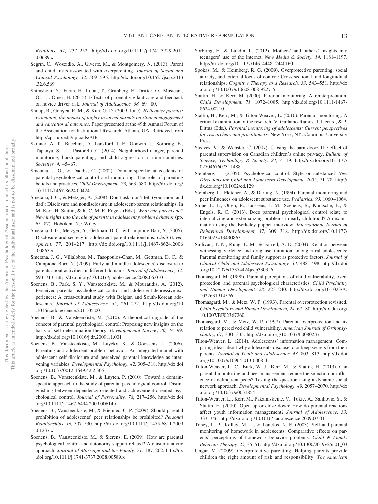*Relations, 61,* 237–252. http://dx.doi.org/10.1111/j.1741-3729.2011 .00689.x

- Segrin, C., Woszidlo, A., Givertz, M., & Montgomery, N. (2013). Parent and child traits associated with overparenting. *Journal of Social and Clinical Psychology, 32,* 569 –595. http://dx.doi.org/10.1521/jscp.2013 .32.6.569
- Shimshoni, Y., Farah, H., Lotan, T., Grimberg, E., Dritter, O., Musicant, O., . . . Omer, H. (2015). Effects of parental vigilant care and feedback on novice driver risk. *Journal of Adolescence, 38,* 69 – 80.
- Shoup, R., Gonyea, R. M., & Kuh, G. D. (2009, June). *Helicopter parents: Examining the impact of highly involved parents on student engagement and educational outcomes*. Paper presented at the 49th Annual Forum of the Association for Institutional Research, Atlanta, GA. Retrieved from http://cpr.iub.edu/uploads/AIR
- Skinner, A. T., Bacchini, D., Lansford, J. E., Godwin, J., Sorbring, E., Tapanya, S.,... Pastorelli, C. (2014). Neighborhood danger, parental monitoring, harsh parenting, and child aggression in nine countries. *Societies, 4, 45-67.*
- Smetana, J. G., & Daddis, C. (2002). Domain-specific antecedents of parental psychological control and monitoring: The role of parenting beliefs and practices. *Child Development, 73,* 563–580. http://dx.doi.org/ 10.1111/1467-8624.00424
- Smetana, J. G., & Metzger, A. (2008). Don't ask, don't tell (your mom and dad): Disclosure and nondisclosure in adolescent-parent relationships. In M. Kerr, H. Stattin, & R. C. M. E. Engels (Eds.), *What can parents do? New insights into the role of parents in adolescent problem behavior* (pp. 65– 87). Hoboken, NJ: Wiley.
- Smetana, J. G., Metzger, A., Gettman, D. C., & Campione-Barr, N. (2006). Disclosure and secrecy in adolescent-parent relationships. *Child Development, 77,* 201–217. http://dx.doi.org/10.1111/j.1467-8624.2006 .00865.x
- Smetana, J. G., Villalobos, M., Tasopoulos-Chan, M., Gettman, D. C., & Campione-Barr, N. (2009). Early and middle adolescents' disclosure to parents about activities in different domains. *Journal of Adolescence, 32,* 693–713. http://dx.doi.org/10.1016/j.adolescence.2008.06.010
- Soenens, B., Park, S. Y., Vansteenkiste, M., & Mouratidis, A. (2012). Perceived parental psychological control and adolescent depressive experiences: A cross-cultural study with Belgian and South-Korean adolescents. *Journal of Adolescence, 35,* 261–272. http://dx.doi.org/10 .1016/j.adolescence.2011.05.001
- Soenens, B., & Vansteenkiste, M. (2010). A theoretical upgrade of the concept of parental psychological control: Proposing new insights on the basis of self-determination theory. *Developmental Review, 30,* 74 –99. http://dx.doi.org/10.1016/j.dr.2009.11.001
- Soenens, B., Vansteenkiste, M., Luyckx, K., & Goossens, L. (2006). Parenting and adolescent problem behavior: An integrated model with adolescent self-disclosure and perceived parental knowledge as intervening variables. *Developmental Psychology, 42,* 305–318. http://dx.doi .org/10.1037/0012-1649.42.2.305
- Soenens, B., Vansteenkiste, M., & Luyten, P. (2010). Toward a domainspecific approach to the study of parental psychological control: Distinguishing between dependency-oriented and achievement-oriented psychological control. *Journal of Personality, 78,* 217–256. http://dx.doi .org/10.1111/j.1467-6494.2009.00614.x
- Soenens, B., Vansteenkiste, M., & Niemiec, C. P. (2009). Should parental prohibition of adolescents' peer relationships be prohibited? *Personal Relationships, 16,* 507–530. http://dx.doi.org/10.1111/j.1475-6811.2009 .01237.x
- Soenens, B., Vansteenkiste, M., & Sierens, E. (2009). How are parental psychological control and autonomy-support related? A cluster-analytic approach. *Journal of Marriage and the Family, 71,* 187–202. http://dx .doi.org/10.1111/j.1741-3737.2008.00589.x
- Sorbring, E., & Lundin, L. (2012). Mothers' and fathers' insights into teenagers' use of the internet. *New Media & Society, 14,* 1181–1197. http://dx.doi.org/10.1177/1461444812440160
- Spokas, M., & Heimberg, R. G. (2009). Overprotective parenting, social anxiety, and external locus of control: Cross-sectional and longitudinal relationships. *Cognitive Therapy and Research, 33,* 543–551. http://dx .doi.org/10.1007/s10608-008-9227-5
- Stattin, H., & Kerr, M. (2000). Parental monitoring: A reinterpretation. *Child Development, 71,* 1072–1085. http://dx.doi.org/10.1111/1467- 8624.00210
- Stattin, H., Kerr, M., & Tilton-Weaver, L. (2010). Parental monitoring: A critical examination of the research. V. Guilamo-Ramos, J. Jaccard, & P. Dittus (Eds.), *Parental monitoring of adolescents: Current perspectives for researchers and practitioners*. New York, NY: Columbia University Press.
- Steeves, V., & Webster, C. (2007). Closing the barn door: The effect of parental supervision on Canadian children's online privacy. *Bulletin of Science, Technology & Society, 21,* 4 –19. http://dx.doi.org/10.1177/ 0270467607311488
- Steinberg, L. (2005). Psychological control: Style or substance? *New Directions for Child and Adolescent Development, 2005,* 71–78. http:// dx.doi.org/10.1002/cd.129
- Steinberg, L., Fletcher, A., & Darling, N. (1994). Parental monitoring and peer influences on adolescent substance use. *Pediatrics, 93,* 1060 –1064.
- Stone, L. L., Otten, R., Janssens, J. M., Soenens, B., Kuntsche, E., & Engels, R. C. (2013). Does parental psychological control relate to internalizing and externalizing problems in early childhood? An examination using the Berkeley puppet interview. *International Journal of Behavioral Development, 37,* 309 –318. http://dx.doi.org/10.1177/ 0165025413490865
- Sullivan, T. N., Kung, E. M., & Farrell, A. D. (2004). Relation between witnessing violence and drug use initiation among rural adolescents: Parental monitoring and family support as protective factors. *Journal of Clinical Child and Adolescent Psychology, 33,* 488 – 498. http://dx.doi .org/10.1207/s15374424jccp3303\_6
- Thomasgard, M. (1998). Parental perceptions of child vulnerability, overprotection, and parental psychological characteristics. *Child Psychiatry and Human Development, 28,* 223–240. http://dx.doi.org/10.1023/A: 1022631914576
- Thomasgard, M., & Metz, W. P. (1993). Parental overprotection revisited. *Child Psychiatry and Human Development, 24,* 67– 80. http://dx.doi.org/ 10.1007/BF02367260
- Thomasgard, M., & Metz, W. P. (1997). Parental overprotection and its relation to perceived child vulnerability. *American Journal of Orthopsychiatry, 67,* 330 –335. http://dx.doi.org/10.1037/h0080237
- Tilton-Weaver, L. (2014). Adolescents' information management: Comparing ideas about why adolescents disclose to or keep secrets from their parents. *Journal of Youth and Adolescence, 43,* 803– 813. http://dx.doi .org/10.1007/s10964-013-0008-4
- Tilton-Weaver, L. C., Burk, W. J., Kerr, M., & Stattin, H. (2013). Can parental monitoring and peer management reduce the selection or influence of delinquent peers? Testing the question using a dynamic social network approach. *Developmental Psychology, 49,* 2057–2070. http://dx .doi.org/10.1037/a0031854
- Tilton-Weaver, L., Kerr, M., Pakalniskeine, V., Tokic, A., Salihovic, S., & Stattin, H. (2010). Open up or close down: How do parental reactions affect youth information management? *Journal of Adolescence, 33,* 333–346. http://dx.doi.org/10.1016/j.adolescence.2009.07.011
- Toney, L. P., Kelley, M. L., & Lanclos, N. F. (2003). Self-and parental monitoring of homework in adolescents: Comparative effects on parents' perceptions of homework behavior problems. *Child & Family Behavior Therapy, 25,* 35–51. http://dx.doi.org/10.1300/J019v25n01\_03
- Ungar, M. (2009). Overprotective parenting: Helping parents provide children the right amount of risk and responsibility. *The American*